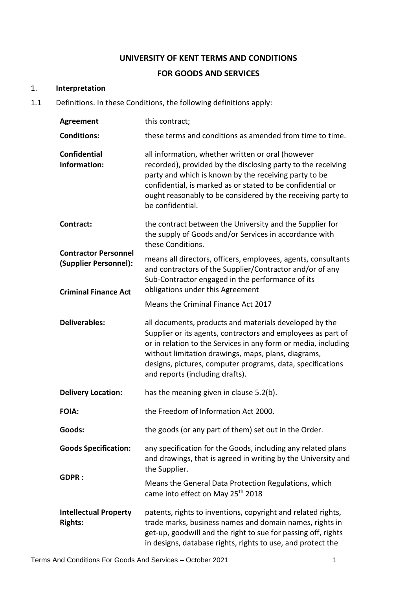## **UNIVERSITY OF KENT TERMS AND CONDITIONS**

#### **FOR GOODS AND SERVICES**

#### 1. **Interpretation**

1.1 Definitions. In these Conditions, the following definitions apply:

| <b>Agreement</b>                                                                                 | this contract;                                                                                                                                                                                                                                                                                                                                   |  |
|--------------------------------------------------------------------------------------------------|--------------------------------------------------------------------------------------------------------------------------------------------------------------------------------------------------------------------------------------------------------------------------------------------------------------------------------------------------|--|
| <b>Conditions:</b>                                                                               | these terms and conditions as amended from time to time.                                                                                                                                                                                                                                                                                         |  |
| <b>Confidential</b><br>Information:                                                              | all information, whether written or oral (however<br>recorded), provided by the disclosing party to the receiving<br>party and which is known by the receiving party to be<br>confidential, is marked as or stated to be confidential or<br>ought reasonably to be considered by the receiving party to<br>be confidential.                      |  |
| Contract:<br><b>Contractor Personnel</b><br>(Supplier Personnel):<br><b>Criminal Finance Act</b> | the contract between the University and the Supplier for<br>the supply of Goods and/or Services in accordance with<br>these Conditions.                                                                                                                                                                                                          |  |
|                                                                                                  | means all directors, officers, employees, agents, consultants<br>and contractors of the Supplier/Contractor and/or of any<br>Sub-Contractor engaged in the performance of its<br>obligations under this Agreement                                                                                                                                |  |
|                                                                                                  | Means the Criminal Finance Act 2017                                                                                                                                                                                                                                                                                                              |  |
| <b>Deliverables:</b>                                                                             | all documents, products and materials developed by the<br>Supplier or its agents, contractors and employees as part of<br>or in relation to the Services in any form or media, including<br>without limitation drawings, maps, plans, diagrams,<br>designs, pictures, computer programs, data, specifications<br>and reports (including drafts). |  |
| <b>Delivery Location:</b>                                                                        | has the meaning given in clause 5.2(b).                                                                                                                                                                                                                                                                                                          |  |
| <b>FOIA:</b>                                                                                     | the Freedom of Information Act 2000.                                                                                                                                                                                                                                                                                                             |  |
| Goods:                                                                                           | the goods (or any part of them) set out in the Order.                                                                                                                                                                                                                                                                                            |  |
| <b>Goods Specification:</b>                                                                      | any specification for the Goods, including any related plans<br>and drawings, that is agreed in writing by the University and<br>the Supplier.                                                                                                                                                                                                   |  |
| <b>GDPR:</b>                                                                                     | Means the General Data Protection Regulations, which<br>came into effect on May 25 <sup>th</sup> 2018                                                                                                                                                                                                                                            |  |
| <b>Intellectual Property</b><br><b>Rights:</b>                                                   | patents, rights to inventions, copyright and related rights,<br>trade marks, business names and domain names, rights in<br>get-up, goodwill and the right to sue for passing off, rights<br>in designs, database rights, rights to use, and protect the                                                                                          |  |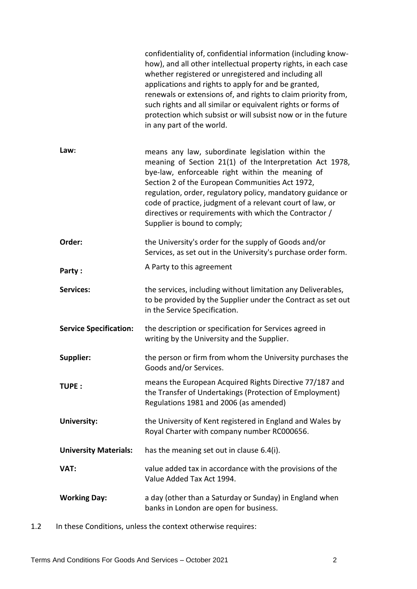|                               | confidentiality of, confidential information (including know-<br>how), and all other intellectual property rights, in each case<br>whether registered or unregistered and including all<br>applications and rights to apply for and be granted,<br>renewals or extensions of, and rights to claim priority from,<br>such rights and all similar or equivalent rights or forms of<br>protection which subsist or will subsist now or in the future<br>in any part of the world. |
|-------------------------------|--------------------------------------------------------------------------------------------------------------------------------------------------------------------------------------------------------------------------------------------------------------------------------------------------------------------------------------------------------------------------------------------------------------------------------------------------------------------------------|
| Law:                          | means any law, subordinate legislation within the<br>meaning of Section 21(1) of the Interpretation Act 1978,<br>bye-law, enforceable right within the meaning of<br>Section 2 of the European Communities Act 1972,<br>regulation, order, regulatory policy, mandatory guidance or<br>code of practice, judgment of a relevant court of law, or<br>directives or requirements with which the Contractor /<br>Supplier is bound to comply;                                     |
| Order:                        | the University's order for the supply of Goods and/or<br>Services, as set out in the University's purchase order form.                                                                                                                                                                                                                                                                                                                                                         |
| Party:                        | A Party to this agreement                                                                                                                                                                                                                                                                                                                                                                                                                                                      |
| <b>Services:</b>              | the services, including without limitation any Deliverables,<br>to be provided by the Supplier under the Contract as set out<br>in the Service Specification.                                                                                                                                                                                                                                                                                                                  |
| <b>Service Specification:</b> | the description or specification for Services agreed in<br>writing by the University and the Supplier.                                                                                                                                                                                                                                                                                                                                                                         |
| Supplier:                     | the person or firm from whom the University purchases the<br>Goods and/or Services.                                                                                                                                                                                                                                                                                                                                                                                            |
|                               |                                                                                                                                                                                                                                                                                                                                                                                                                                                                                |
| TUPE:                         | means the European Acquired Rights Directive 77/187 and<br>the Transfer of Undertakings (Protection of Employment)<br>Regulations 1981 and 2006 (as amended)                                                                                                                                                                                                                                                                                                                   |
| <b>University:</b>            | the University of Kent registered in England and Wales by<br>Royal Charter with company number RC000656.                                                                                                                                                                                                                                                                                                                                                                       |
| <b>University Materials:</b>  | has the meaning set out in clause 6.4(i).                                                                                                                                                                                                                                                                                                                                                                                                                                      |
| VAT:                          | value added tax in accordance with the provisions of the<br>Value Added Tax Act 1994.                                                                                                                                                                                                                                                                                                                                                                                          |

1.2 In these Conditions, unless the context otherwise requires: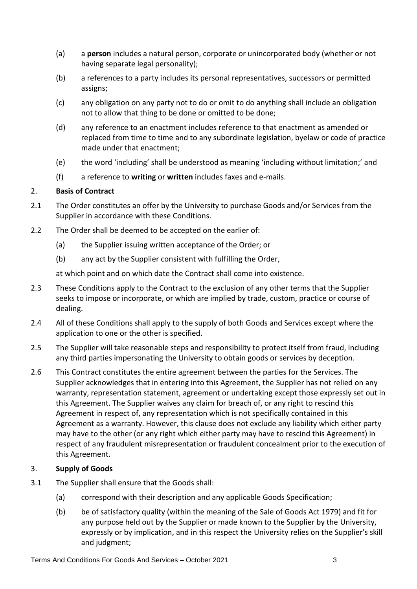- (a) a **person** includes a natural person, corporate or unincorporated body (whether or not having separate legal personality);
- (b) a references to a party includes its personal representatives, successors or permitted assigns;
- (c) any obligation on any party not to do or omit to do anything shall include an obligation not to allow that thing to be done or omitted to be done;
- (d) any reference to an enactment includes reference to that enactment as amended or replaced from time to time and to any subordinate legislation, byelaw or code of practice made under that enactment;
- (e) the word 'including' shall be understood as meaning 'including without limitation;' and
- (f) a reference to **writing** or **written** includes faxes and e-mails.

## 2. **Basis of Contract**

- 2.1 The Order constitutes an offer by the University to purchase Goods and/or Services from the Supplier in accordance with these Conditions.
- 2.2 The Order shall be deemed to be accepted on the earlier of:
	- (a) the Supplier issuing written acceptance of the Order; or
	- (b) any act by the Supplier consistent with fulfilling the Order,

at which point and on which date the Contract shall come into existence.

- 2.3 These Conditions apply to the Contract to the exclusion of any other terms that the Supplier seeks to impose or incorporate, or which are implied by trade, custom, practice or course of dealing.
- 2.4 All of these Conditions shall apply to the supply of both Goods and Services except where the application to one or the other is specified.
- 2.5 The Supplier will take reasonable steps and responsibility to protect itself from fraud, including any third parties impersonating the University to obtain goods or services by deception.
- 2.6 This Contract constitutes the entire agreement between the parties for the Services. The Supplier acknowledges that in entering into this Agreement, the Supplier has not relied on any warranty, representation statement, agreement or undertaking except those expressly set out in this Agreement. The Supplier waives any claim for breach of, or any right to rescind this Agreement in respect of, any representation which is not specifically contained in this Agreement as a warranty. However, this clause does not exclude any liability which either party may have to the other (or any right which either party may have to rescind this Agreement) in respect of any fraudulent misrepresentation or fraudulent concealment prior to the execution of this Agreement.

## 3. **Supply of Goods**

- <span id="page-2-0"></span>3.1 The Supplier shall ensure that the Goods shall:
	- (a) correspond with their description and any applicable Goods Specification;
	- (b) be of satisfactory quality (within the meaning of the Sale of Goods Act 1979) and fit for any purpose held out by the Supplier or made known to the Supplier by the University, expressly or by implication, and in this respect the University relies on the Supplier's skill and judgment;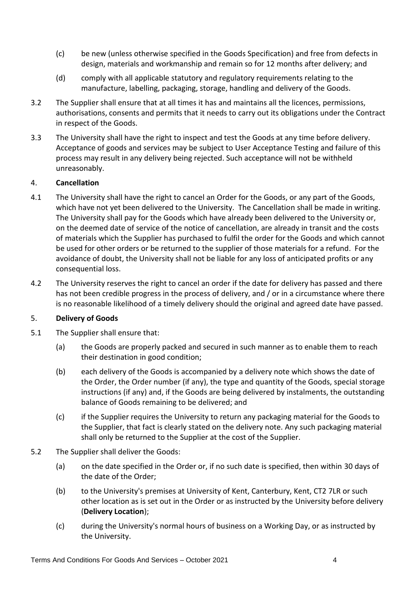- (c) be new (unless otherwise specified in the Goods Specification) and free from defects in design, materials and workmanship and remain so for 12 months after delivery; and
- (d) comply with all applicable statutory and regulatory requirements relating to the manufacture, labelling, packaging, storage, handling and delivery of the Goods.
- 3.2 The Supplier shall ensure that at all times it has and maintains all the licences, permissions, authorisations, consents and permits that it needs to carry out its obligations under the Contract in respect of the Goods.
- 3.3 The University shall have the right to inspect and test the Goods at any time before delivery. Acceptance of goods and services may be subject to User Acceptance Testing and failure of this process may result in any delivery being rejected. Such acceptance will not be withheld unreasonably.

## <span id="page-3-1"></span>4. **Cancellation**

- 4.1 The University shall have the right to cancel an Order for the Goods, or any part of the Goods, which have not yet been delivered to the University. The Cancellation shall be made in writing. The University shall pay for the Goods which have already been delivered to the University or, on the deemed date of service of the notice of cancellation, are already in transit and the costs of materials which the Supplier has purchased to fulfil the order for the Goods and which cannot be used for other orders or be returned to the supplier of those materials for a refund. For the avoidance of doubt, the University shall not be liable for any loss of anticipated profits or any consequential loss.
- 4.2 The University reserves the right to cancel an order if the date for delivery has passed and there has not been credible progress in the process of delivery, and / or in a circumstance where there is no reasonable likelihood of a timely delivery should the original and agreed date have passed.

## 5. **Delivery of Goods**

- 5.1 The Supplier shall ensure that:
	- (a) the Goods are properly packed and secured in such manner as to enable them to reach their destination in good condition;
	- (b) each delivery of the Goods is accompanied by a delivery note which shows the date of the Order, the Order number (if any), the type and quantity of the Goods, special storage instructions (if any) and, if the Goods are being delivered by instalments, the outstanding balance of Goods remaining to be delivered; and
	- (c) if the Supplier requires the University to return any packaging material for the Goods to the Supplier, that fact is clearly stated on the delivery note. Any such packaging material shall only be returned to the Supplier at the cost of the Supplier.
- <span id="page-3-0"></span>5.2 The Supplier shall deliver the Goods:
	- (a) on the date specified in the Order or, if no such date is specified, then within 30 days of the date of the Order;
	- (b) to the University's premises at University of Kent, Canterbury, Kent, CT2 7LR or such other location as is set out in the Order or as instructed by the University before delivery (**Delivery Location**);
	- (c) during the University's normal hours of business on a Working Day, or as instructed by the University.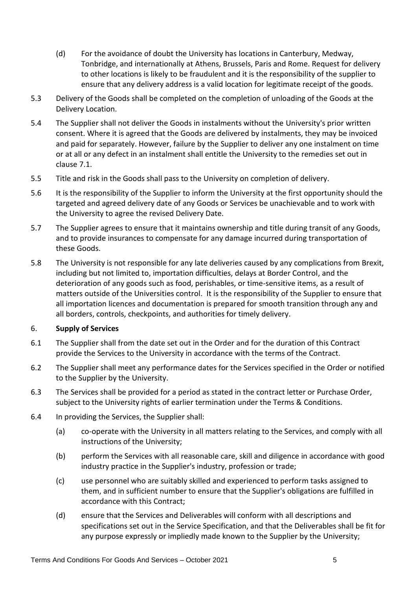- (d) For the avoidance of doubt the University has locations in Canterbury, Medway, Tonbridge, and internationally at Athens, Brussels, Paris and Rome. Request for delivery to other locations is likely to be fraudulent and it is the responsibility of the supplier to ensure that any delivery address is a valid location for legitimate receipt of the goods.
- 5.3 Delivery of the Goods shall be completed on the completion of unloading of the Goods at the Delivery Location.
- 5.4 The Supplier shall not deliver the Goods in instalments without the University's prior written consent. Where it is agreed that the Goods are delivered by instalments, they may be invoiced and paid for separately. However, failure by the Supplier to deliver any one instalment on time or at all or any defect in an instalment shall entitle the University to the remedies set out in clause [7.1.](#page-5-1)
- 5.5 Title and risk in the Goods shall pass to the University on completion of delivery.
- 5.6 It is the responsibility of the Supplier to inform the University at the first opportunity should the targeted and agreed delivery date of any Goods or Services be unachievable and to work with the University to agree the revised Delivery Date.
- 5.7 The Supplier agrees to ensure that it maintains ownership and title during transit of any Goods, and to provide insurances to compensate for any damage incurred during transportation of these Goods.
- 5.8 The University is not responsible for any late deliveries caused by any complications from Brexit, including but not limited to, importation difficulties, delays at Border Control, and the deterioration of any goods such as food, perishables, or time-sensitive items, as a result of matters outside of the Universities control. It is the responsibility of the Supplier to ensure that all importation licences and documentation is prepared for smooth transition through any and all borders, controls, checkpoints, and authorities for timely delivery.

## 6. **Supply of Services**

- 6.1 The Supplier shall from the date set out in the Order and for the duration of this Contract provide the Services to the University in accordance with the terms of the Contract.
- 6.2 The Supplier shall meet any performance dates for the Services specified in the Order or notified to the Supplier by the University.
- 6.3 The Services shall be provided for a period as stated in the contract letter or Purchase Order, subject to the University rights of earlier termination under the Terms & Conditions.
- <span id="page-4-0"></span>6.4 In providing the Services, the Supplier shall:
	- (a) co-operate with the University in all matters relating to the Services, and comply with all instructions of the University;
	- (b) perform the Services with all reasonable care, skill and diligence in accordance with good industry practice in the Supplier's industry, profession or trade;
	- (c) use personnel who are suitably skilled and experienced to perform tasks assigned to them, and in sufficient number to ensure that the Supplier's obligations are fulfilled in accordance with this Contract;
	- (d) ensure that the Services and Deliverables will conform with all descriptions and specifications set out in the Service Specification, and that the Deliverables shall be fit for any purpose expressly or impliedly made known to the Supplier by the University;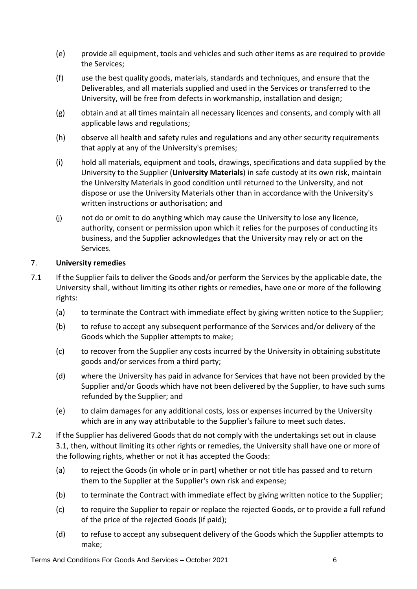- (e) provide all equipment, tools and vehicles and such other items as are required to provide the Services;
- (f) use the best quality goods, materials, standards and techniques, and ensure that the Deliverables, and all materials supplied and used in the Services or transferred to the University, will be free from defects in workmanship, installation and design;
- (g) obtain and at all times maintain all necessary licences and consents, and comply with all applicable laws and regulations;
- (h) observe all health and safety rules and regulations and any other security requirements that apply at any of the University's premises;
- <span id="page-5-0"></span>(i) hold all materials, equipment and tools, drawings, specifications and data supplied by the University to the Supplier (**University Materials**) in safe custody at its own risk, maintain the University Materials in good condition until returned to the University, and not dispose or use the University Materials other than in accordance with the University's written instructions or authorisation; and
- (j) not do or omit to do anything which may cause the University to lose any licence, authority, consent or permission upon which it relies for the purposes of conducting its business, and the Supplier acknowledges that the University may rely or act on the Services.

## 7. **University remedies**

- <span id="page-5-1"></span>7.1 If the Supplier fails to deliver the Goods and/or perform the Services by the applicable date, the University shall, without limiting its other rights or remedies, have one or more of the following rights:
	- (a) to terminate the Contract with immediate effect by giving written notice to the Supplier;
	- (b) to refuse to accept any subsequent performance of the Services and/or delivery of the Goods which the Supplier attempts to make;
	- (c) to recover from the Supplier any costs incurred by the University in obtaining substitute goods and/or services from a third party;
	- (d) where the University has paid in advance for Services that have not been provided by the Supplier and/or Goods which have not been delivered by the Supplier, to have such sums refunded by the Supplier; and
	- (e) to claim damages for any additional costs, loss or expenses incurred by the University which are in any way attributable to the Supplier's failure to meet such dates.
- 7.2 If the Supplier has delivered Goods that do not comply with the undertakings set out in clause [3.1,](#page-2-0) then, without limiting its other rights or remedies, the University shall have one or more of the following rights, whether or not it has accepted the Goods:
	- (a) to reject the Goods (in whole or in part) whether or not title has passed and to return them to the Supplier at the Supplier's own risk and expense;
	- (b) to terminate the Contract with immediate effect by giving written notice to the Supplier;
	- (c) to require the Supplier to repair or replace the rejected Goods, or to provide a full refund of the price of the rejected Goods (if paid);
	- (d) to refuse to accept any subsequent delivery of the Goods which the Supplier attempts to make;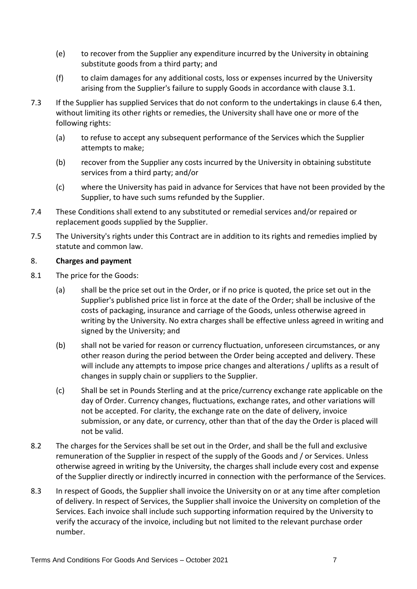- (e) to recover from the Supplier any expenditure incurred by the University in obtaining substitute goods from a third party; and
- (f) to claim damages for any additional costs, loss or expenses incurred by the University arising from the Supplier's failure to supply Goods in accordance with clause [3.1.](#page-2-0)
- 7.3 If the Supplier has supplied Services that do not conform to the undertakings in clause [6.4](#page-4-0) then, without limiting its other rights or remedies, the University shall have one or more of the following rights:
	- (a) to refuse to accept any subsequent performance of the Services which the Supplier attempts to make;
	- (b) recover from the Supplier any costs incurred by the University in obtaining substitute services from a third party; and/or
	- (c) where the University has paid in advance for Services that have not been provided by the Supplier, to have such sums refunded by the Supplier.
- 7.4 These Conditions shall extend to any substituted or remedial services and/or repaired or replacement goods supplied by the Supplier.
- 7.5 The University's rights under this Contract are in addition to its rights and remedies implied by statute and common law.

## 8. **Charges and payment**

- 8.1 The price for the Goods:
	- (a) shall be the price set out in the Order, or if no price is quoted, the price set out in the Supplier's published price list in force at the date of the Order; shall be inclusive of the costs of packaging, insurance and carriage of the Goods, unless otherwise agreed in writing by the University. No extra charges shall be effective unless agreed in writing and signed by the University; and
	- (b) shall not be varied for reason or currency fluctuation, unforeseen circumstances, or any other reason during the period between the Order being accepted and delivery. These will include any attempts to impose price changes and alterations / uplifts as a result of changes in supply chain or suppliers to the Supplier.
	- (c) Shall be set in Pounds Sterling and at the price/currency exchange rate applicable on the day of Order. Currency changes, fluctuations, exchange rates, and other variations will not be accepted. For clarity, the exchange rate on the date of delivery, invoice submission, or any date, or currency, other than that of the day the Order is placed will not be valid.
- 8.2 The charges for the Services shall be set out in the Order, and shall be the full and exclusive remuneration of the Supplier in respect of the supply of the Goods and / or Services. Unless otherwise agreed in writing by the University, the charges shall include every cost and expense of the Supplier directly or indirectly incurred in connection with the performance of the Services.
- 8.3 In respect of Goods, the Supplier shall invoice the University on or at any time after completion of delivery. In respect of Services, the Supplier shall invoice the University on completion of the Services. Each invoice shall include such supporting information required by the University to verify the accuracy of the invoice, including but not limited to the relevant purchase order number.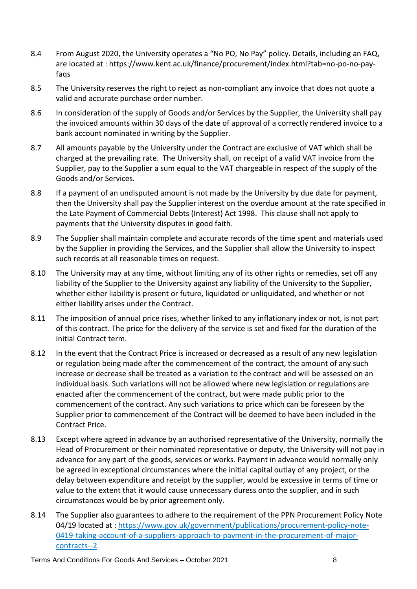- 8.4 From August 2020, the University operates a "No PO, No Pay" policy. Details, including an FAQ, are located at : [https://www.kent.ac.uk/finance/procurement/index.html?tab=no-po-no-pay](https://www.kent.ac.uk/finance/procurement/index.html?tab=no-po-no-pay-faqs)[faqs](https://www.kent.ac.uk/finance/procurement/index.html?tab=no-po-no-pay-faqs)
- 8.5 The University reserves the right to reject as non-compliant any invoice that does not quote a valid and accurate purchase order number.
- 8.6 In consideration of the supply of Goods and/or Services by the Supplier, the University shall pay the invoiced amounts within 30 days of the date of approval of a correctly rendered invoice to a bank account nominated in writing by the Supplier.
- 8.7 All amounts payable by the University under the Contract are exclusive of VAT which shall be charged at the prevailing rate. The University shall, on receipt of a valid VAT invoice from the Supplier, pay to the Supplier a sum equal to the VAT chargeable in respect of the supply of the Goods and/or Services.
- 8.8 If a payment of an undisputed amount is not made by the University by due date for payment, then the University shall pay the Supplier interest on the overdue amount at the rate specified in the Late Payment of Commercial Debts (Interest) Act 1998. This clause shall not apply to payments that the University disputes in good faith.
- 8.9 The Supplier shall maintain complete and accurate records of the time spent and materials used by the Supplier in providing the Services, and the Supplier shall allow the University to inspect such records at all reasonable times on request.
- 8.10 The University may at any time, without limiting any of its other rights or remedies, set off any liability of the Supplier to the University against any liability of the University to the Supplier, whether either liability is present or future, liquidated or unliquidated, and whether or not either liability arises under the Contract.
- 8.11 The imposition of annual price rises, whether linked to any inflationary index or not, is not part of this contract. The price for the delivery of the service is set and fixed for the duration of the initial Contract term.
- 8.12 In the event that the Contract Price is increased or decreased as a result of any new legislation or regulation being made after the commencement of the contract, the amount of any such increase or decrease shall be treated as a variation to the contract and will be assessed on an individual basis. Such variations will not be allowed where new legislation or regulations are enacted after the commencement of the contract, but were made public prior to the commencement of the contract. Any such variations to price which can be foreseen by the Supplier prior to commencement of the Contract will be deemed to have been included in the Contract Price.
- 8.13 Except where agreed in advance by an authorised representative of the University, normally the Head of Procurement or their nominated representative or deputy, the University will not pay in advance for any part of the goods, services or works. Payment in advance would normally only be agreed in exceptional circumstances where the initial capital outlay of any project, or the delay between expenditure and receipt by the supplier, would be excessive in terms of time or value to the extent that it would cause unnecessary duress onto the supplier, and in such circumstances would be by prior agreement only.
- 8.14 The Supplier also guarantees to adhere to the requirement of the PPN Procurement Policy Note 04/19 located at : [https://www.gov.uk/government/publications/procurement-policy-note-](https://www.gov.uk/government/publications/procurement-policy-note-0419-taking-account-of-a-suppliers-approach-to-payment-in-the-procurement-of-major-contracts--2)[0419-taking-account-of-a-suppliers-approach-to-payment-in-the-procurement-of-major](https://www.gov.uk/government/publications/procurement-policy-note-0419-taking-account-of-a-suppliers-approach-to-payment-in-the-procurement-of-major-contracts--2)[contracts--2](https://www.gov.uk/government/publications/procurement-policy-note-0419-taking-account-of-a-suppliers-approach-to-payment-in-the-procurement-of-major-contracts--2)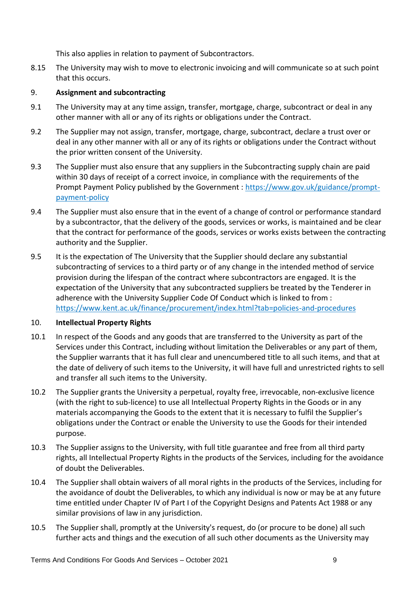This also applies in relation to payment of Subcontractors.

8.15 The University may wish to move to electronic invoicing and will communicate so at such point that this occurs.

## 9. **Assignment and subcontracting**

- 9.1 The University may at any time assign, transfer, mortgage, charge, subcontract or deal in any other manner with all or any of its rights or obligations under the Contract.
- 9.2 The Supplier may not assign, transfer, mortgage, charge, subcontract, declare a trust over or deal in any other manner with all or any of its rights or obligations under the Contract without the prior written consent of the University.
- 9.3 The Supplier must also ensure that any suppliers in the Subcontracting supply chain are paid within 30 days of receipt of a correct invoice, in compliance with the requirements of the Prompt Payment Policy published by the Government : [https://www.gov.uk/guidance/prompt](https://www.gov.uk/guidance/prompt-payment-policy)[payment-policy](https://www.gov.uk/guidance/prompt-payment-policy)
- 9.4 The Supplier must also ensure that in the event of a change of control or performance standard by a subcontractor, that the delivery of the goods, services or works, is maintained and be clear that the contract for performance of the goods, services or works exists between the contracting authority and the Supplier.
- 9.5 It is the expectation of The University that the Supplier should declare any substantial subcontracting of services to a third party or of any change in the intended method of service provision during the lifespan of the contract where subcontractors are engaged. It is the expectation of the University that any subcontracted suppliers be treated by the Tenderer in adherence with the University Supplier Code Of Conduct which is linked to from : <https://www.kent.ac.uk/finance/procurement/index.html?tab=policies-and-procedures>

## 10. **Intellectual Property Rights**

- 10.1 In respect of the Goods and any goods that are transferred to the University as part of the Services under this Contract, including without limitation the Deliverables or any part of them, the Supplier warrants that it has full clear and unencumbered title to all such items, and that at the date of delivery of such items to the University, it will have full and unrestricted rights to sell and transfer all such items to the University.
- 10.2 The Supplier grants the University a perpetual, royalty free, irrevocable, non-exclusive licence (with the right to sub-licence) to use all Intellectual Property Rights in the Goods or in any materials accompanying the Goods to the extent that it is necessary to fulfil the Supplier's obligations under the Contract or enable the University to use the Goods for their intended purpose.
- <span id="page-8-0"></span>10.3 The Supplier assigns to the University, with full title guarantee and free from all third party rights, all Intellectual Property Rights in the products of the Services, including for the avoidance of doubt the Deliverables.
- 10.4 The Supplier shall obtain waivers of all moral rights in the products of the Services, including for the avoidance of doubt the Deliverables, to which any individual is now or may be at any future time entitled under Chapter IV of Part I of the Copyright Designs and Patents Act 1988 or any similar provisions of law in any jurisdiction.
- 10.5 The Supplier shall, promptly at the University's request, do (or procure to be done) all such further acts and things and the execution of all such other documents as the University may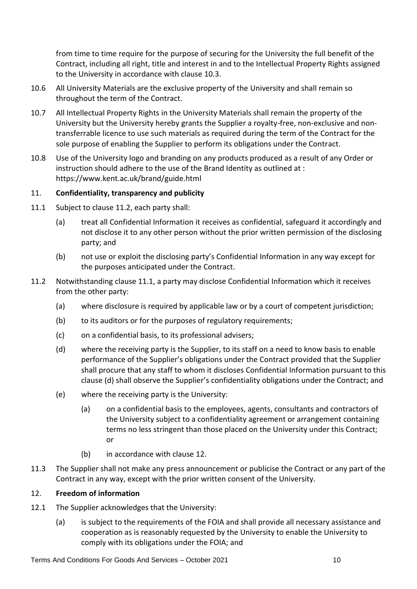from time to time require for the purpose of securing for the University the full benefit of the Contract, including all right, title and interest in and to the Intellectual Property Rights assigned to the University in accordance with clause [10.3.](#page-8-0)

- 10.6 All University Materials are the exclusive property of the University and shall remain so throughout the term of the Contract.
- 10.7 All Intellectual Property Rights in the University Materials shall remain the property of the University but the University hereby grants the Supplier a royalty-free, non-exclusive and nontransferrable licence to use such materials as required during the term of the Contract for the sole purpose of enabling the Supplier to perform its obligations under the Contract.
- 10.8 Use of the University logo and branding on any products produced as a result of any Order or instruction should adhere to the use of the Brand Identity as outlined at : <https://www.kent.ac.uk/brand/guide.html>

## 11. **Confidentiality, transparency and publicity**

- <span id="page-9-1"></span>11.1 Subject to clause [11.2,](#page-9-0) each party shall:
	- (a) treat all Confidential Information it receives as confidential, safeguard it accordingly and not disclose it to any other person without the prior written permission of the disclosing party; and
	- (b) not use or exploit the disclosing party's Confidential Information in any way except for the purposes anticipated under the Contract.
- <span id="page-9-2"></span><span id="page-9-0"></span>11.2 Notwithstanding clause [11.1,](#page-9-1) a party may disclose Confidential Information which it receives from the other party:
	- (a) where disclosure is required by applicable law or by a court of competent jurisdiction;
	- (b) to its auditors or for the purposes of regulatory requirements;
	- (c) on a confidential basis, to its professional advisers;
	- (d) where the receiving party is the Supplier, to its staff on a need to know basis to enable performance of the Supplier's obligations under the Contract provided that the Supplier shall procure that any staff to whom it discloses Confidential Information pursuant to this clause [\(d\)](#page-9-2) shall observe the Supplier's confidentiality obligations under the Contract; and
	- (e) where the receiving party is the University:
		- (a) on a confidential basis to the employees, agents, consultants and contractors of the University subject to a confidentiality agreement or arrangement containing terms no less stringent than those placed on the University under this Contract; or
		- (b) in accordance with clause [12.](#page-9-3)
- 11.3 The Supplier shall not make any press announcement or publicise the Contract or any part of the Contract in any way, except with the prior written consent of the University.

## <span id="page-9-3"></span>12. **Freedom of information**

- 12.1 The Supplier acknowledges that the University:
	- (a) is subject to the requirements of the FOIA and shall provide all necessary assistance and cooperation as is reasonably requested by the University to enable the University to comply with its obligations under the FOIA; and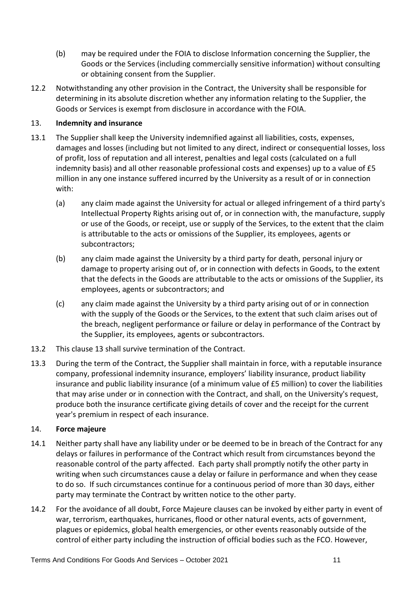- (b) may be required under the FOIA to disclose Information concerning the Supplier, the Goods or the Services (including commercially sensitive information) without consulting or obtaining consent from the Supplier.
- 12.2 Notwithstanding any other provision in the Contract, the University shall be responsible for determining in its absolute discretion whether any information relating to the Supplier, the Goods or Services is exempt from disclosure in accordance with the FOIA.

## <span id="page-10-0"></span>13. **Indemnity and insurance**

- 13.1 The Supplier shall keep the University indemnified against all liabilities, costs, expenses, damages and losses (including but not limited to any direct, indirect or consequential losses, loss of profit, loss of reputation and all interest, penalties and legal costs (calculated on a full indemnity basis) and all other reasonable professional costs and expenses) up to a value of £5 million in any one instance suffered incurred by the University as a result of or in connection with:
	- (a) any claim made against the University for actual or alleged infringement of a third party's Intellectual Property Rights arising out of, or in connection with, the manufacture, supply or use of the Goods, or receipt, use or supply of the Services, to the extent that the claim is attributable to the acts or omissions of the Supplier, its employees, agents or subcontractors;
	- (b) any claim made against the University by a third party for death, personal injury or damage to property arising out of, or in connection with defects in Goods, to the extent that the defects in the Goods are attributable to the acts or omissions of the Supplier, its employees, agents or subcontractors; and
	- (c) any claim made against the University by a third party arising out of or in connection with the supply of the Goods or the Services, to the extent that such claim arises out of the breach, negligent performance or failure or delay in performance of the Contract by the Supplier, its employees, agents or subcontractors.
- 13.2 This claus[e 13](#page-10-0) shall survive termination of the Contract.
- 13.3 During the term of the Contract, the Supplier shall maintain in force, with a reputable insurance company, professional indemnity insurance, employers' liability insurance, product liability insurance and public liability insurance (of a minimum value of £5 million) to cover the liabilities that may arise under or in connection with the Contract, and shall, on the University's request, produce both the insurance certificate giving details of cover and the receipt for the current year's premium in respect of each insurance.

# <span id="page-10-1"></span>14. **Force majeure**

- 14.1 Neither party shall have any liability under or be deemed to be in breach of the Contract for any delays or failures in performance of the Contract which result from circumstances beyond the reasonable control of the party affected. Each party shall promptly notify the other party in writing when such circumstances cause a delay or failure in performance and when they cease to do so. If such circumstances continue for a continuous period of more than 30 days, either party may terminate the Contract by written notice to the other party.
- 14.2 For the avoidance of all doubt, Force Majeure clauses can be invoked by either party in event of war, terrorism, earthquakes, hurricanes, flood or other natural events, acts of government, plagues or epidemics, global health emergencies, or other events reasonably outside of the control of either party including the instruction of official bodies such as the FCO. However,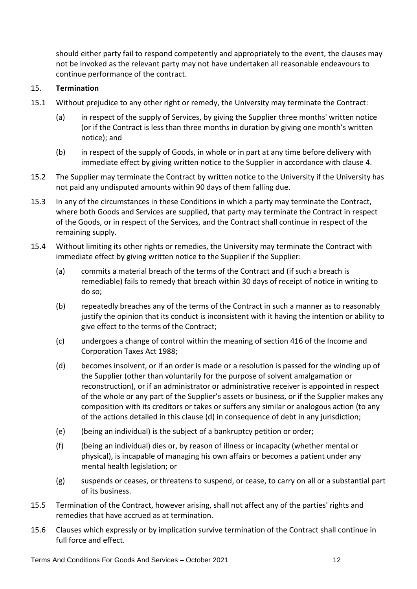should either party fail to respond competently and appropriately to the event, the clauses may not be invoked as the relevant party may not have undertaken all reasonable endeavours to continue performance of the contract.

## <span id="page-11-1"></span>15. **Termination**

- 15.1 Without prejudice to any other right or remedy, the University may terminate the Contract:
	- (a) in respect of the supply of Services, by giving the Supplier three months' written notice (or if the Contract is less than three months in duration by giving one month's written notice); and
	- (b) in respect of the supply of Goods, in whole or in part at any time before delivery with immediate effect by giving written notice to the Supplier in accordance with claus[e 4.](#page-3-1)
- 15.2 The Supplier may terminate the Contract by written notice to the University if the University has not paid any undisputed amounts within 90 days of them falling due.
- 15.3 In any of the circumstances in these Conditions in which a party may terminate the Contract, where both Goods and Services are supplied, that party may terminate the Contract in respect of the Goods, or in respect of the Services, and the Contract shall continue in respect of the remaining supply.
- <span id="page-11-0"></span>15.4 Without limiting its other rights or remedies, the University may terminate the Contract with immediate effect by giving written notice to the Supplier if the Supplier:
	- (a) commits a material breach of the terms of the Contract and (if such a breach is remediable) fails to remedy that breach within 30 days of receipt of notice in writing to do so;
	- (b) repeatedly breaches any of the terms of the Contract in such a manner as to reasonably justify the opinion that its conduct is inconsistent with it having the intention or ability to give effect to the terms of the Contract;
	- (c) undergoes a change of control within the meaning of section 416 of the Income and Corporation Taxes Act 1988;
	- (d) becomes insolvent, or if an order is made or a resolution is passed for the winding up of the Supplier (other than voluntarily for the purpose of solvent amalgamation or reconstruction), or if an administrator or administrative receiver is appointed in respect of the whole or any part of the Supplier's assets or business, or if the Supplier makes any composition with its creditors or takes or suffers any similar or analogous action (to any of the actions detailed in this clause [\(d\)](#page-11-0) in consequence of debt in any jurisdiction;
	- (e) (being an individual) is the subject of a bankruptcy petition or order;
	- (f) (being an individual) dies or, by reason of illness or incapacity (whether mental or physical), is incapable of managing his own affairs or becomes a patient under any mental health legislation; or
	- (g) suspends or ceases, or threatens to suspend, or cease, to carry on all or a substantial part of its business.
- 15.5 Termination of the Contract, however arising, shall not affect any of the parties' rights and remedies that have accrued as at termination.
- 15.6 Clauses which expressly or by implication survive termination of the Contract shall continue in full force and effect.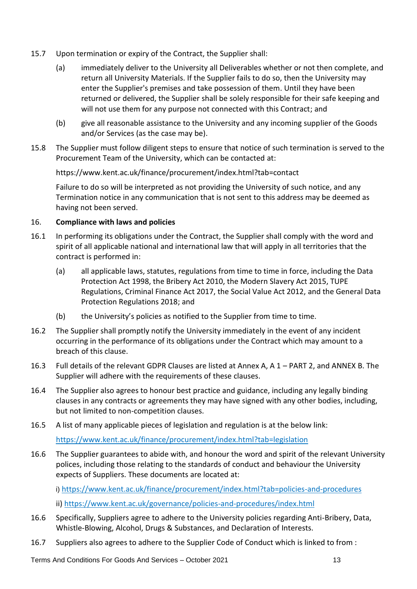- 15.7 Upon termination or expiry of the Contract, the Supplier shall:
	- (a) immediately deliver to the University all Deliverables whether or not then complete, and return all University Materials. If the Supplier fails to do so, then the University may enter the Supplier's premises and take possession of them. Until they have been returned or delivered, the Supplier shall be solely responsible for their safe keeping and will not use them for any purpose not connected with this Contract; and
	- (b) give all reasonable assistance to the University and any incoming supplier of the Goods and/or Services (as the case may be).
- 15.8 The Supplier must follow diligent steps to ensure that notice of such termination is served to the Procurement Team of the University, which can be contacted at:

<https://www.kent.ac.uk/finance/procurement/index.html?tab=contact>

Failure to do so will be interpreted as not providing the University of such notice, and any Termination notice in any communication that is not sent to this address may be deemed as having not been served.

## 16. **Compliance with laws and policies**

- 16.1 In performing its obligations under the Contract, the Supplier shall comply with the word and spirit of all applicable national and international law that will apply in all territories that the contract is performed in:
	- (a) all applicable laws, statutes, regulations from time to time in force, including the Data Protection Act 1998, the Bribery Act 2010, the Modern Slavery Act 2015, TUPE Regulations, Criminal Finance Act 2017, the Social Value Act 2012, and the General Data Protection Regulations 2018; and
	- (b) the University's policies as notified to the Supplier from time to time.
- 16.2 The Supplier shall promptly notify the University immediately in the event of any incident occurring in the performance of its obligations under the Contract which may amount to a breach of this clause.
- 16.3 Full details of the relevant GDPR Clauses are listed at Annex A, A 1 PART 2, and ANNEX B. The Supplier will adhere with the requirements of these clauses.
- 16.4 The Supplier also agrees to honour best practice and guidance, including any legally binding clauses in any contracts or agreements they may have signed with any other bodies, including, but not limited to non-competition clauses.
- 16.5 A list of many applicable pieces of legislation and regulation is at the below link:

https://www.kent.ac.uk/finance/procurement/index.html?tab=legislation

16.6 The Supplier guarantees to abide with, and honour the word and spirit of the relevant University polices, including those relating to the standards of conduct and behaviour the University expects of Suppliers. These documents are located at:

i) <https://www.kent.ac.uk/finance/procurement/index.html?tab=policies-and-procedures> ii)<https://www.kent.ac.uk/governance/policies-and-procedures/index.html>

- 16.6 Specifically, Suppliers agree to adhere to the University policies regarding Anti-Bribery, Data, Whistle-Blowing, Alcohol, Drugs & Substances, and Declaration of Interests.
- 16.7 Suppliers also agrees to adhere to the Supplier Code of Conduct which is linked to from :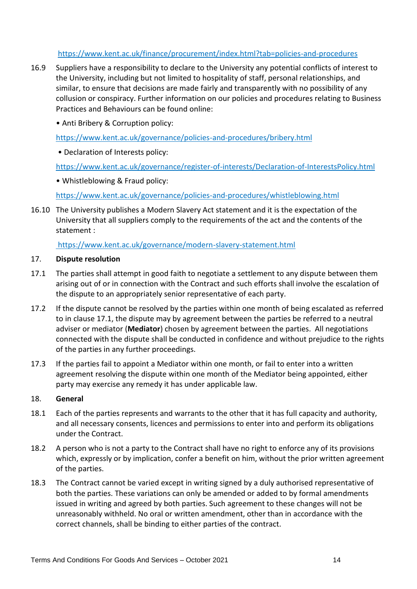## <https://www.kent.ac.uk/finance/procurement/index.html?tab=policies-and-procedures>

- 16.9 Suppliers have a responsibility to declare to the University any potential conflicts of interest to the University, including but not limited to hospitality of staff, personal relationships, and similar, to ensure that decisions are made fairly and transparently with no possibility of any collusion or conspiracy. Further information on our policies and procedures relating to Business Practices and Behaviours can be found online:
	- Anti Bribery & Corruption policy:

<https://www.kent.ac.uk/governance/policies-and-procedures/bribery.html>

• Declaration of Interests policy:

<https://www.kent.ac.uk/governance/register-of-interests/Declaration-of-InterestsPolicy.html>

• Whistleblowing & Fraud policy:

https://www.kent.ac.uk/governance/policies-and-procedures/whistleblowing.html

16.10 The University publishes a Modern Slavery Act statement and it is the expectation of the University that all suppliers comply to the requirements of the act and the contents of the statement :

<https://www.kent.ac.uk/governance/modern-slavery-statement.html>

#### 17. **Dispute resolution**

- <span id="page-13-0"></span>17.1 The parties shall attempt in good faith to negotiate a settlement to any dispute between them arising out of or in connection with the Contract and such efforts shall involve the escalation of the dispute to an appropriately senior representative of each party.
- 17.2 If the dispute cannot be resolved by the parties within one month of being escalated as referred to in clause [17.1,](#page-13-0) the dispute may by agreement between the parties be referred to a neutral adviser or mediator (**Mediator**) chosen by agreement between the parties. All negotiations connected with the dispute shall be conducted in confidence and without prejudice to the rights of the parties in any further proceedings.
- 17.3 If the parties fail to appoint a Mediator within one month, or fail to enter into a written agreement resolving the dispute within one month of the Mediator being appointed, either party may exercise any remedy it has under applicable law.

#### 18. **General**

- 18.1 Each of the parties represents and warrants to the other that it has full capacity and authority, and all necessary consents, licences and permissions to enter into and perform its obligations under the Contract.
- 18.2 A person who is not a party to the Contract shall have no right to enforce any of its provisions which, expressly or by implication, confer a benefit on him, without the prior written agreement of the parties.
- 18.3 The Contract cannot be varied except in writing signed by a duly authorised representative of both the parties. These variations can only be amended or added to by formal amendments issued in writing and agreed by both parties. Such agreement to these changes will not be unreasonably withheld. No oral or written amendment, other than in accordance with the correct channels, shall be binding to either parties of the contract.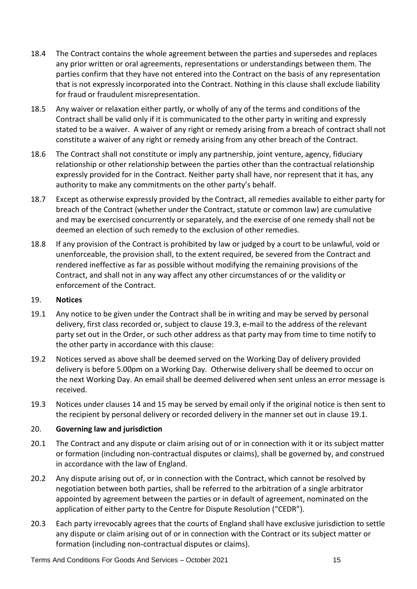- 18.4 The Contract contains the whole agreement between the parties and supersedes and replaces any prior written or oral agreements, representations or understandings between them. The parties confirm that they have not entered into the Contract on the basis of any representation that is not expressly incorporated into the Contract. Nothing in this clause shall exclude liability for fraud or fraudulent misrepresentation.
- 18.5 Any waiver or relaxation either partly, or wholly of any of the terms and conditions of the Contract shall be valid only if it is communicated to the other party in writing and expressly stated to be a waiver. A waiver of any right or remedy arising from a breach of contract shall not constitute a waiver of any right or remedy arising from any other breach of the Contract.
- 18.6 The Contract shall not constitute or imply any partnership, joint venture, agency, fiduciary relationship or other relationship between the parties other than the contractual relationship expressly provided for in the Contract. Neither party shall have, nor represent that it has, any authority to make any commitments on the other party's behalf.
- 18.7 Except as otherwise expressly provided by the Contract, all remedies available to either party for breach of the Contract (whether under the Contract, statute or common law) are cumulative and may be exercised concurrently or separately, and the exercise of one remedy shall not be deemed an election of such remedy to the exclusion of other remedies.
- 18.8 If any provision of the Contract is prohibited by law or judged by a court to be unlawful, void or unenforceable, the provision shall, to the extent required, be severed from the Contract and rendered ineffective as far as possible without modifying the remaining provisions of the Contract, and shall not in any way affect any other circumstances of or the validity or enforcement of the Contract.

## 19. **Notices**

- <span id="page-14-1"></span>19.1 Any notice to be given under the Contract shall be in writing and may be served by personal delivery, first class recorded or, subject to clause [19.3,](#page-14-0) e-mail to the address of the relevant party set out in the Order, or such other address as that party may from time to time notify to the other party in accordance with this clause:
- 19.2 Notices served as above shall be deemed served on the Working Day of delivery provided delivery is before 5.00pm on a Working Day. Otherwise delivery shall be deemed to occur on the next Working Day. An email shall be deemed delivered when sent unless an error message is received.
- <span id="page-14-0"></span>19.3 Notices under clauses [14](#page-10-1) and [15](#page-11-1) may be served by email only if the original notice is then sent to the recipient by personal delivery or recorded delivery in the manner set out in clause [19.1.](#page-14-1)

## 20. **Governing law and jurisdiction**

- 20.1 The Contract and any dispute or claim arising out of or in connection with it or its subject matter or formation (including non-contractual disputes or claims), shall be governed by, and construed in accordance with the law of England.
- 20.2 Any dispute arising out of, or in connection with the Contract, which cannot be resolved by negotiation between both parties, shall be referred to the arbitration of a single arbitrator appointed by agreement between the parties or in default of agreement, nominated on the application of either party to the Centre for Dispute Resolution ("CEDR").
- 20.3 Each party irrevocably agrees that the courts of England shall have exclusive jurisdiction to settle any dispute or claim arising out of or in connection with the Contract or its subject matter or formation (including non-contractual disputes or claims).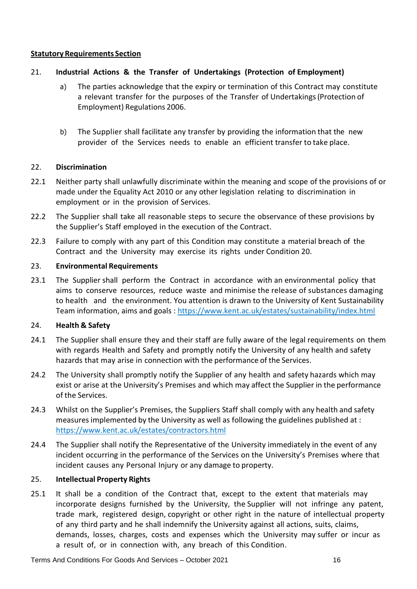#### **Statutory Requirements Section**

## 21. **Industrial Actions & the Transfer of Undertakings (Protection of Employment)**

- a) The parties acknowledge that the expiry or termination of this Contract may constitute a relevant transfer for the purposes of the Transfer of Undertakings(Protection of Employment) Regulations 2006.
- b) The Supplier shall facilitate any transfer by providing the information that the new provider of the Services needs to enable an efficient transfer to take place.

#### 22. **Discrimination**

- 22.1 Neither party shall unlawfully discriminate within the meaning and scope of the provisions of or made under the Equality Act 2010 or any other legislation relating to discrimination in employment or in the provision of Services.
- 22.2 The Supplier shall take all reasonable steps to secure the observance of these provisions by the Supplier's Staff employed in the execution of the Contract.
- 22.3 Failure to comply with any part of this Condition may constitute a material breach of the Contract and the University may exercise its rights under Condition 20.

#### 23. **Environmental Requirements**

23.1 The Supplier shall perform the Contract in accordance with an environmental policy that aims to conserve resources, reduce waste and minimise the release of substances damaging to health and the environment. You attention is drawn to the University of Kent Sustainability Team information, aims and goals :<https://www.kent.ac.uk/estates/sustainability/index.html>

#### 24. **Health & Safety**

- 24.1 The Supplier shall ensure they and their staff are fully aware of the legal requirements on them with regards Health and Safety and promptly notify the University of any health and safety hazards that may arise in connection with the performance of the Services.
- 24.2 The University shall promptly notify the Supplier of any health and safety hazards which may exist or arise at the University's Premises and which may affect the Supplier in the performance of the Services.
- 24.3 Whilst on the Supplier's Premises, the Suppliers Staff shall comply with any health and safety measures implemented by the University as well as following the guidelines published at : <https://www.kent.ac.uk/estates/contractors.html>
- 24.4 The Supplier shall notify the Representative of the University immediately in the event of any incident occurring in the performance of the Services on the University's Premises where that incident causes any Personal Injury or any damage to property.

## 25. **Intellectual Property Rights**

25.1 It shall be a condition of the Contract that, except to the extent that materials may incorporate designs furnished by the University, the Supplier will not infringe any patent, trade mark, registered design, copyright or other right in the nature of intellectual property of any third party and he shall indemnify the University against all actions, suits, claims, demands, losses, charges, costs and expenses which the University may suffer or incur as a result of, or in connection with, any breach of this Condition.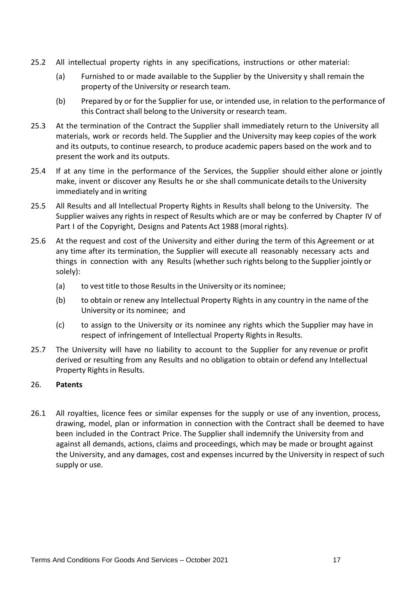- 25.2 All intellectual property rights in any specifications, instructions or other material:
	- (a) Furnished to or made available to the Supplier by the University y shall remain the property of the University or research team.
	- (b) Prepared by or for the Supplier for use, or intended use, in relation to the performance of this Contract shall belong to the University or research team.
- 25.3 At the termination of the Contract the Supplier shall immediately return to the University all materials, work or records held. The Supplier and the University may keep copies of the work and its outputs, to continue research, to produce academic papers based on the work and to present the work and its outputs.
- 25.4 If at any time in the performance of the Services, the Supplier should either alone or jointly make, invent or discover any Results he or she shall communicate details to the University immediately and in writing
- 25.5 All Results and all Intellectual Property Rights in Results shall belong to the University. The Supplier waives any rights in respect of Results which are or may be conferred by Chapter IV of Part I of the Copyright, Designs and Patents Act 1988 (moral rights).
- 25.6 At the request and cost of the University and either during the term of this Agreement or at any time after its termination, the Supplier will execute all reasonably necessary acts and things in connection with any Results (whether such rights belong to the Supplier jointly or solely):
	- (a) to vest title to those Results in the University or its nominee;
	- (b) to obtain or renew any Intellectual Property Rights in any country in the name of the University or its nominee; and
	- (c) to assign to the University or its nominee any rights which the Supplier may have in respect of infringement of Intellectual Property Rights in Results.
- 25.7 The University will have no liability to account to the Supplier for any revenue or profit derived or resulting from any Results and no obligation to obtain or defend any Intellectual Property Rights in Results.

#### 26. **Patents**

26.1 All royalties, licence fees or similar expenses for the supply or use of any invention, process, drawing, model, plan or information in connection with the Contract shall be deemed to have been included in the Contract Price. The Supplier shall indemnify the University from and against all demands, actions, claims and proceedings, which may be made or brought against the University, and any damages, cost and expenses incurred by the University in respect of such supply or use.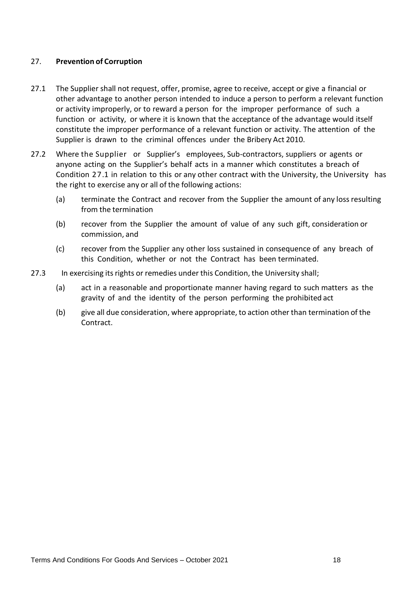#### 27. **Prevention of Corruption**

- 27.1 The Supplier shall not request, offer, promise, agree to receive, accept or give a financial or other advantage to another person intended to induce a person to perform a relevant function or activity improperly, or to reward a person for the improper performance of such a function or activity, or where it is known that the acceptance of the advantage would itself constitute the improper performance of a relevant function or activity. The attention of the Supplier is drawn to the criminal offences under the Bribery Act 2010.
- 27.2 Where the Supplier or Supplier's employees, Sub-contractors, suppliers or agents or anyone acting on the Supplier's behalf acts in a manner which constitutes a breach of Condition 27.1 in relation to this or any other contract with the University, the University has the right to exercise any or all of the following actions:
	- (a) terminate the Contract and recover from the Supplier the amount of any lossresulting from the termination
	- (b) recover from the Supplier the amount of value of any such gift, consideration or commission, and
	- (c) recover from the Supplier any other loss sustained in consequence of any breach of this Condition, whether or not the Contract has been terminated.
- 27.3 In exercising its rights or remedies under this Condition, the University shall;
	- (a) act in a reasonable and proportionate manner having regard to such matters as the gravity of and the identity of the person performing the prohibited act
	- (b) give all due consideration, where appropriate, to action other than termination of the Contract.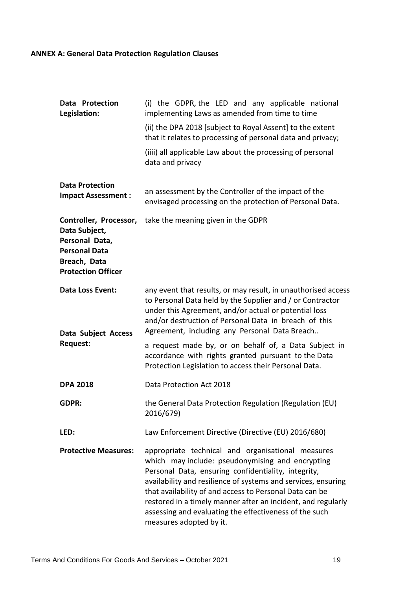# **ANNEX A: General Data Protection Regulation Clauses**

| Data Protection<br>Legislation:                                                                                                | (i) the GDPR, the LED and any applicable national<br>implementing Laws as amended from time to time                                                                                                                                                                                                                                                                                                                                           |
|--------------------------------------------------------------------------------------------------------------------------------|-----------------------------------------------------------------------------------------------------------------------------------------------------------------------------------------------------------------------------------------------------------------------------------------------------------------------------------------------------------------------------------------------------------------------------------------------|
|                                                                                                                                | (ii) the DPA 2018 [subject to Royal Assent] to the extent<br>that it relates to processing of personal data and privacy;                                                                                                                                                                                                                                                                                                                      |
|                                                                                                                                | (iiii) all applicable Law about the processing of personal<br>data and privacy                                                                                                                                                                                                                                                                                                                                                                |
| <b>Data Protection</b><br><b>Impact Assessment:</b>                                                                            | an assessment by the Controller of the impact of the<br>envisaged processing on the protection of Personal Data.                                                                                                                                                                                                                                                                                                                              |
| Controller, Processor,<br>Data Subject,<br>Personal Data,<br><b>Personal Data</b><br>Breach, Data<br><b>Protection Officer</b> | take the meaning given in the GDPR                                                                                                                                                                                                                                                                                                                                                                                                            |
| <b>Data Loss Event:</b><br>Data Subject Access                                                                                 | any event that results, or may result, in unauthorised access<br>to Personal Data held by the Supplier and / or Contractor<br>under this Agreement, and/or actual or potential loss<br>and/or destruction of Personal Data in breach of this<br>Agreement, including any Personal Data Breach                                                                                                                                                 |
| <b>Request:</b>                                                                                                                | a request made by, or on behalf of, a Data Subject in<br>accordance with rights granted pursuant to the Data<br>Protection Legislation to access their Personal Data.                                                                                                                                                                                                                                                                         |
| <b>DPA 2018</b>                                                                                                                | Data Protection Act 2018                                                                                                                                                                                                                                                                                                                                                                                                                      |
| <b>GDPR:</b>                                                                                                                   | the General Data Protection Regulation (Regulation (EU)<br>2016/679)                                                                                                                                                                                                                                                                                                                                                                          |
| LED:                                                                                                                           | Law Enforcement Directive (Directive (EU) 2016/680)                                                                                                                                                                                                                                                                                                                                                                                           |
| <b>Protective Measures:</b>                                                                                                    | appropriate technical and organisational measures<br>which may include: pseudonymising and encrypting<br>Personal Data, ensuring confidentiality, integrity,<br>availability and resilience of systems and services, ensuring<br>that availability of and access to Personal Data can be<br>restored in a timely manner after an incident, and regularly<br>assessing and evaluating the effectiveness of the such<br>measures adopted by it. |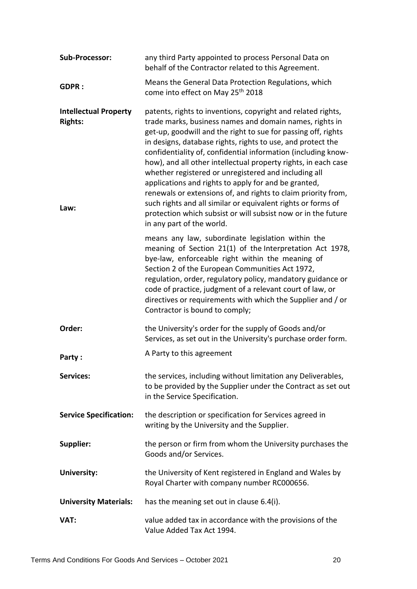| <b>Sub-Processor:</b>                                  | any third Party appointed to process Personal Data on<br>behalf of the Contractor related to this Agreement.                                                                                                                                                                                                                                                                                                                                                                                                                                                                                                                                                                                                                              |
|--------------------------------------------------------|-------------------------------------------------------------------------------------------------------------------------------------------------------------------------------------------------------------------------------------------------------------------------------------------------------------------------------------------------------------------------------------------------------------------------------------------------------------------------------------------------------------------------------------------------------------------------------------------------------------------------------------------------------------------------------------------------------------------------------------------|
| <b>GDPR:</b>                                           | Means the General Data Protection Regulations, which<br>come into effect on May 25 <sup>th</sup> 2018                                                                                                                                                                                                                                                                                                                                                                                                                                                                                                                                                                                                                                     |
| <b>Intellectual Property</b><br><b>Rights:</b><br>Law: | patents, rights to inventions, copyright and related rights,<br>trade marks, business names and domain names, rights in<br>get-up, goodwill and the right to sue for passing off, rights<br>in designs, database rights, rights to use, and protect the<br>confidentiality of, confidential information (including know-<br>how), and all other intellectual property rights, in each case<br>whether registered or unregistered and including all<br>applications and rights to apply for and be granted,<br>renewals or extensions of, and rights to claim priority from,<br>such rights and all similar or equivalent rights or forms of<br>protection which subsist or will subsist now or in the future<br>in any part of the world. |
|                                                        | means any law, subordinate legislation within the<br>meaning of Section 21(1) of the Interpretation Act 1978,<br>bye-law, enforceable right within the meaning of<br>Section 2 of the European Communities Act 1972,<br>regulation, order, regulatory policy, mandatory guidance or<br>code of practice, judgment of a relevant court of law, or<br>directives or requirements with which the Supplier and / or<br>Contractor is bound to comply;                                                                                                                                                                                                                                                                                         |
| Order:                                                 | the University's order for the supply of Goods and/or<br>Services, as set out in the University's purchase order form.                                                                                                                                                                                                                                                                                                                                                                                                                                                                                                                                                                                                                    |
| Party:                                                 | A Party to this agreement                                                                                                                                                                                                                                                                                                                                                                                                                                                                                                                                                                                                                                                                                                                 |
| <b>Services:</b>                                       | the services, including without limitation any Deliverables,<br>to be provided by the Supplier under the Contract as set out<br>in the Service Specification.                                                                                                                                                                                                                                                                                                                                                                                                                                                                                                                                                                             |
| <b>Service Specification:</b>                          | the description or specification for Services agreed in<br>writing by the University and the Supplier.                                                                                                                                                                                                                                                                                                                                                                                                                                                                                                                                                                                                                                    |
| <b>Supplier:</b>                                       | the person or firm from whom the University purchases the<br>Goods and/or Services.                                                                                                                                                                                                                                                                                                                                                                                                                                                                                                                                                                                                                                                       |
| <b>University:</b>                                     | the University of Kent registered in England and Wales by<br>Royal Charter with company number RC000656.                                                                                                                                                                                                                                                                                                                                                                                                                                                                                                                                                                                                                                  |
| <b>University Materials:</b>                           | has the meaning set out in clause 6.4(i).                                                                                                                                                                                                                                                                                                                                                                                                                                                                                                                                                                                                                                                                                                 |
| VAT:                                                   | value added tax in accordance with the provisions of the<br>Value Added Tax Act 1994.                                                                                                                                                                                                                                                                                                                                                                                                                                                                                                                                                                                                                                                     |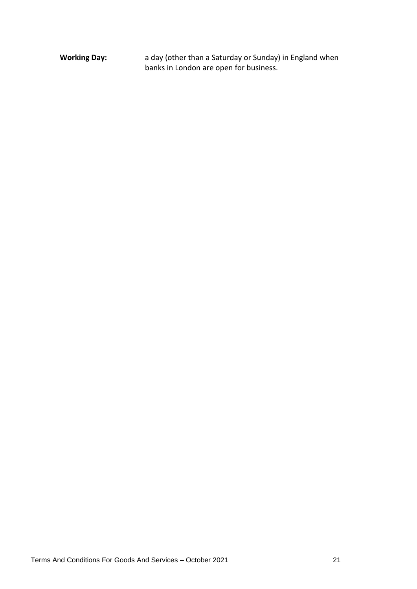**Working Day:** a day (other than a Saturday or Sunday) in England when banks in London are open for business.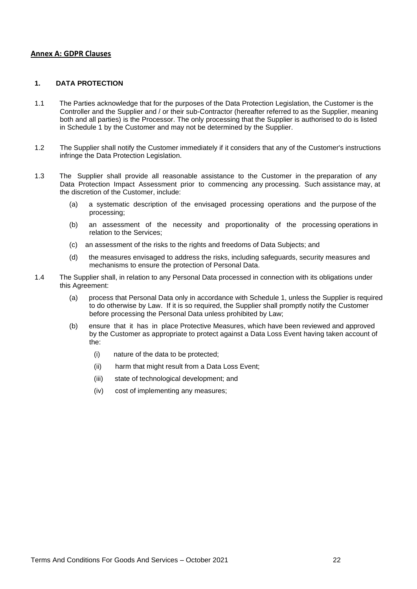#### **Annex A: GDPR Clauses**

#### **1. DATA PROTECTION**

- 1.1 The Parties acknowledge that for the purposes of the Data Protection Legislation, the Customer is the Controller and the Supplier and / or their sub-Contractor (hereafter referred to as the Supplier, meaning both and all parties) is the Processor. The only processing that the Supplier is authorised to do is listed in Schedule 1 by the Customer and may not be determined by the Supplier.
- 1.2 The Supplier shall notify the Customer immediately if it considers that any of the Customer's instructions infringe the Data Protection Legislation.
- 1.3 The Supplier shall provide all reasonable assistance to the Customer in the preparation of any Data Protection Impact Assessment prior to commencing any processing. Such assistance may, at the discretion of the Customer, include:
	- (a) a systematic description of the envisaged processing operations and the purpose of the processing;
	- (b) an assessment of the necessity and proportionality of the processing operations in relation to the Services;
	- (c) an assessment of the risks to the rights and freedoms of Data Subjects; and
	- (d) the measures envisaged to address the risks, including safeguards, security measures and mechanisms to ensure the protection of Personal Data.
- 1.4 The Supplier shall, in relation to any Personal Data processed in connection with its obligations under this Agreement:
	- (a) process that Personal Data only in accordance with Schedule 1, unless the Supplier is required to do otherwise by Law. If it is so required, the Supplier shall promptly notify the Customer before processing the Personal Data unless prohibited by Law;
	- (b) ensure that it has in place Protective Measures, which have been reviewed and approved by the Customer as appropriate to protect against a Data Loss Event having taken account of the:
		- (i) nature of the data to be protected;
		- (ii) harm that might result from a Data Loss Event;
		- (iii) state of technological development; and
		- (iv) cost of implementing any measures;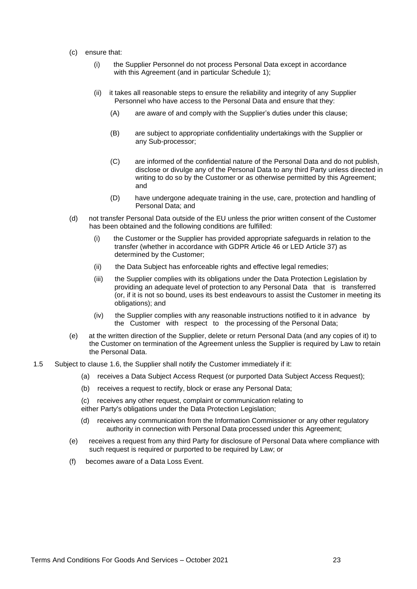- (c) ensure that:
	- (i) the Supplier Personnel do not process Personal Data except in accordance with this Agreement (and in particular Schedule 1);
	- (ii) it takes all reasonable steps to ensure the reliability and integrity of any Supplier Personnel who have access to the Personal Data and ensure that they:
		- (A) are aware of and comply with the Supplier's duties under this clause;
		- (B) are subject to appropriate confidentiality undertakings with the Supplier or any Sub-processor;
		- (C) are informed of the confidential nature of the Personal Data and do not publish, disclose or divulge any of the Personal Data to any third Party unless directed in writing to do so by the Customer or as otherwise permitted by this Agreement; and
		- (D) have undergone adequate training in the use, care, protection and handling of Personal Data; and
- (d) not transfer Personal Data outside of the EU unless the prior written consent of the Customer has been obtained and the following conditions are fulfilled:
	- (i) the Customer or the Supplier has provided appropriate safeguards in relation to the transfer (whether in accordance with GDPR Article 46 or LED Article 37) as determined by the Customer;
	- (ii) the Data Subject has enforceable rights and effective legal remedies;
	- (iii) the Supplier complies with its obligations under the Data Protection Legislation by providing an adequate level of protection to any Personal Data that is transferred (or, if it is not so bound, uses its best endeavours to assist the Customer in meeting its obligations); and
	- (iv) the Supplier complies with any reasonable instructions notified to it in advance by the Customer with respect to the processing of the Personal Data;
- (e) at the written direction of the Supplier, delete or return Personal Data (and any copies of it) to the Customer on termination of the Agreement unless the Supplier is required by Law to retain the Personal Data.
- 1.5 Subject to clause 1.6, the Supplier shall notify the Customer immediately if it:
	- (a) receives a Data Subject Access Request (or purported Data Subject Access Request);
	- (b) receives a request to rectify, block or erase any Personal Data;
	- (c) receives any other request, complaint or communication relating to either Party's obligations under the Data Protection Legislation;
	- (d) receives any communication from the Information Commissioner or any other regulatory authority in connection with Personal Data processed under this Agreement;
	- (e) receives a request from any third Party for disclosure of Personal Data where compliance with such request is required or purported to be required by Law; or
	- (f) becomes aware of a Data Loss Event.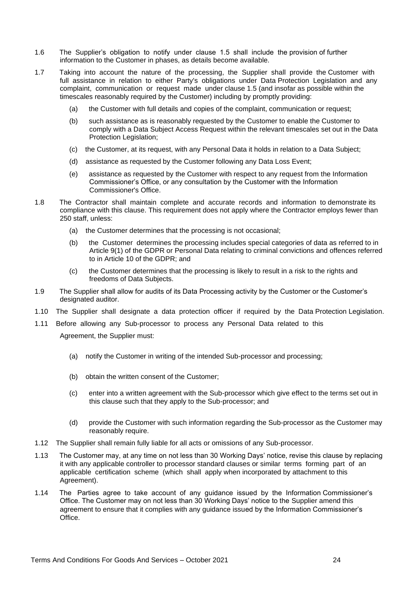- 1.6 The Supplier's obligation to notify under clause 1.5 shall include the provision of further information to the Customer in phases, as details become available.
- 1.7 Taking into account the nature of the processing, the Supplier shall provide the Customer with full assistance in relation to either Party's obligations under Data Protection Legislation and any complaint, communication or request made under clause 1.5 (and insofar as possible within the timescales reasonably required by the Customer) including by promptly providing:
	- (a) the Customer with full details and copies of the complaint, communication or request;
	- (b) such assistance as is reasonably requested by the Customer to enable the Customer to comply with a Data Subject Access Request within the relevant timescales set out in the Data Protection Legislation;
	- (c) the Customer, at its request, with any Personal Data it holds in relation to a Data Subject;
	- (d) assistance as requested by the Customer following any Data Loss Event;
	- (e) assistance as requested by the Customer with respect to any request from the Information Commissioner's Office, or any consultation by the Customer with the Information Commissioner's Office.
- 1.8 The Contractor shall maintain complete and accurate records and information to demonstrate its compliance with this clause. This requirement does not apply where the Contractor employs fewer than 250 staff, unless:
	- (a) the Customer determines that the processing is not occasional;
	- (b) the Customer determines the processing includes special categories of data as referred to in Article 9(1) of the GDPR or Personal Data relating to criminal convictions and offences referred to in Article 10 of the GDPR; and
	- (c) the Customer determines that the processing is likely to result in a risk to the rights and freedoms of Data Subjects.
- 1.9 The Supplier shall allow for audits of its Data Processing activity by the Customer or the Customer's designated auditor.
- 1.10 The Supplier shall designate a data protection officer if required by the Data Protection Legislation.
- 1.11 Before allowing any Sub-processor to process any Personal Data related to this

Agreement, the Supplier must:

- (a) notify the Customer in writing of the intended Sub-processor and processing;
- (b) obtain the written consent of the Customer;
- (c) enter into a written agreement with the Sub-processor which give effect to the terms set out in this clause such that they apply to the Sub-processor; and
- (d) provide the Customer with such information regarding the Sub-processor as the Customer may reasonably require.
- 1.12 The Supplier shall remain fully liable for all acts or omissions of any Sub-processor.
- 1.13 The Customer may, at any time on not less than 30 Working Days' notice, revise this clause by replacing it with any applicable controller to processor standard clauses or similar terms forming part of an applicable certification scheme (which shall apply when incorporated by attachment to this Agreement).
- 1.14 The Parties agree to take account of any guidance issued by the Information Commissioner's Office. The Customer may on not less than 30 Working Days' notice to the Supplier amend this agreement to ensure that it complies with any guidance issued by the Information Commissioner's Office.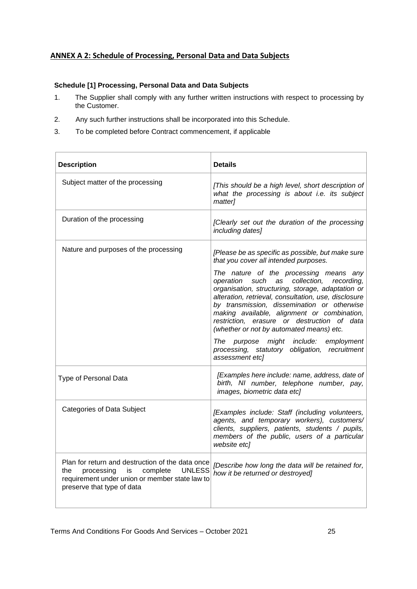#### **ANNEX A 2: Schedule of Processing, Personal Data and Data Subjects**

#### **Schedule [1] Processing, Personal Data and Data Subjects**

- 1. The Supplier shall comply with any further written instructions with respect to processing by the Customer.
- 2. Any such further instructions shall be incorporated into this Schedule.
- 3. To be completed before Contract commencement, if applicable

| <b>Description</b>                                                                                                                                                                    | <b>Details</b>                                                                                                                                                                                                                                                                                                                                                                                                                                                                                                                                                                                      |
|---------------------------------------------------------------------------------------------------------------------------------------------------------------------------------------|-----------------------------------------------------------------------------------------------------------------------------------------------------------------------------------------------------------------------------------------------------------------------------------------------------------------------------------------------------------------------------------------------------------------------------------------------------------------------------------------------------------------------------------------------------------------------------------------------------|
| Subject matter of the processing                                                                                                                                                      | [This should be a high level, short description of<br>what the processing is about i.e. its subject<br>matter]                                                                                                                                                                                                                                                                                                                                                                                                                                                                                      |
| Duration of the processing                                                                                                                                                            | [Clearly set out the duration of the processing<br>including dates]                                                                                                                                                                                                                                                                                                                                                                                                                                                                                                                                 |
| Nature and purposes of the processing                                                                                                                                                 | [Please be as specific as possible, but make sure<br>that you cover all intended purposes.<br>The nature of the processing means any<br>operation such as collection, recording,<br>organisation, structuring, storage, adaptation or<br>alteration, retrieval, consultation, use, disclosure<br>by transmission, dissemination or otherwise<br>making available, alignment or combination,<br>restriction, erasure or destruction of data<br>(whether or not by automated means) etc.<br>The purpose might include: employment<br>processing, statutory obligation, recruitment<br>assessment etc] |
| Type of Personal Data                                                                                                                                                                 | [Examples here include: name, address, date of<br>birth, NI number, telephone number, pay,<br>images, biometric data etc]                                                                                                                                                                                                                                                                                                                                                                                                                                                                           |
| <b>Categories of Data Subject</b>                                                                                                                                                     | [Examples include: Staff (including volunteers,<br>agents, and temporary workers), customers/<br>clients, suppliers, patients, students / pupils,<br>members of the public, users of a particular<br>website etc]                                                                                                                                                                                                                                                                                                                                                                                   |
| Plan for return and destruction of the data once<br>processing is<br>complete<br><b>UNLESS</b><br>the<br>requirement under union or member state law to<br>preserve that type of data | [Describe how long the data will be retained for,<br>how it be returned or destroyed]                                                                                                                                                                                                                                                                                                                                                                                                                                                                                                               |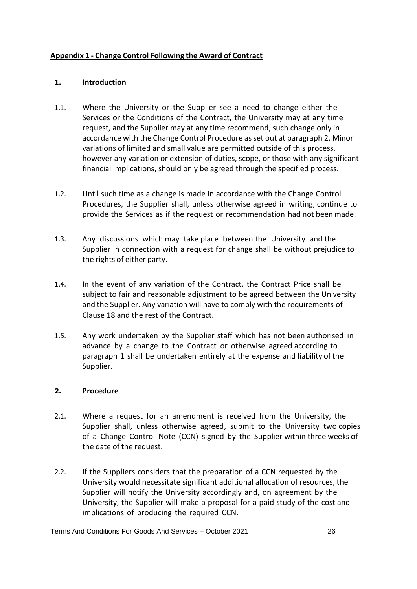#### **Appendix 1 - Change Control Following the Award of Contract**

#### **1. Introduction**

- 1.1. Where the University or the Supplier see a need to change either the Services or the Conditions of the Contract, the University may at any time request, and the Supplier may at any time recommend, such change only in accordance with the Change Control Procedure asset out at paragraph 2. Minor variations of limited and small value are permitted outside of this process, however any variation or extension of duties, scope, or those with any significant financial implications, should only be agreed through the specified process.
- 1.2. Until such time as a change is made in accordance with the Change Control Procedures, the Supplier shall, unless otherwise agreed in writing, continue to provide the Services as if the request or recommendation had not been made.
- 1.3. Any discussions which may take place between the University and the Supplier in connection with a request for change shall be without prejudice to the rights of either party.
- 1.4. In the event of any variation of the Contract, the Contract Price shall be subject to fair and reasonable adjustment to be agreed between the University and the Supplier. Any variation will have to comply with the requirements of Clause 18 and the rest of the Contract.
- 1.5. Any work undertaken by the Supplier staff which has not been authorised in advance by a change to the Contract or otherwise agreed according to paragraph 1 shall be undertaken entirely at the expense and liability of the Supplier.

#### **2. Procedure**

- 2.1. Where a request for an amendment is received from the University, the Supplier shall, unless otherwise agreed, submit to the University two copies of a Change Control Note (CCN) signed by the Supplier within three weeks of the date of the request.
- 2.2. If the Suppliers considers that the preparation of a CCN requested by the University would necessitate significant additional allocation of resources, the Supplier will notify the University accordingly and, on agreement by the University, the Supplier will make a proposal for a paid study of the cost and implications of producing the required CCN.

Terms And Conditions For Goods And Services – October 2021 26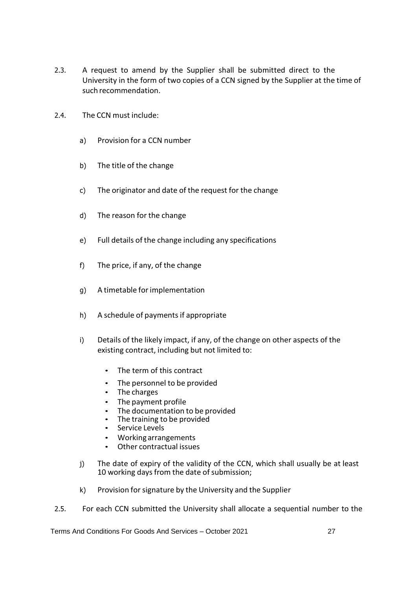- 2.3. A request to amend by the Supplier shall be submitted direct to the University in the form of two copies of a CCN signed by the Supplier at the time of such recommendation.
- 2.4. The CCN must include:
	- a) Provision for a CCN number
	- b) The title of the change
	- c) The originator and date of the request for the change
	- d) The reason for the change
	- e) Full details of the change including any specifications
	- f) The price, if any, of the change
	- g) A timetable forimplementation
	- h) A schedule of payments if appropriate
	- i) Details of the likely impact, if any, of the change on other aspects of the existing contract, including but not limited to:
		- The term of this contract
		- The personnel to be provided
		- The charges
		- The payment profile
		- The documentation to be provided
		- The training to be provided
		- Service Levels
		- Working arrangements
		- Other contractual issues
	- j) The date of expiry of the validity of the CCN, which shall usually be at least 10 working days from the date of submission;
	- k) Provision for signature by the University and the Supplier
- 2.5. For each CCN submitted the University shall allocate a sequential number to the